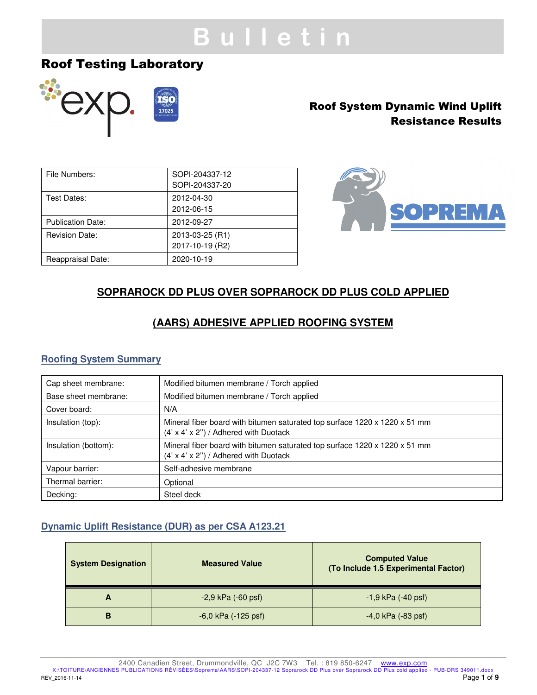# **B u l l e t i n**

## Roof Testing Laboratory



## Roof System Dynamic Wind Uplift Resistance Results

| File Numbers:            | SOPI-204337-12<br>SOPI-204337-20   |
|--------------------------|------------------------------------|
| Test Dates:              | 2012-04-30<br>2012-06-15           |
| <b>Publication Date:</b> | 2012-09-27                         |
| <b>Revision Date:</b>    | 2013-03-25 (R1)<br>2017-10-19 (R2) |
| Reappraisal Date:        | 2020-10-19                         |



## **SOPRAROCK DD PLUS OVER SOPRAROCK DD PLUS COLD APPLIED**

## **(AARS) ADHESIVE APPLIED ROOFING SYSTEM**

### **Roofing System Summary**

| Cap sheet membrane:  | Modified bitumen membrane / Torch applied                                                                                        |  |
|----------------------|----------------------------------------------------------------------------------------------------------------------------------|--|
| Base sheet membrane: | Modified bitumen membrane / Torch applied                                                                                        |  |
| Cover board:         | N/A                                                                                                                              |  |
| Insulation (top):    | Mineral fiber board with bitumen saturated top surface 1220 x 1220 x 51 mm<br>$(4' \times 4' \times 2'')$ / Adhered with Duotack |  |
| Insulation (bottom): | Mineral fiber board with bitumen saturated top surface 1220 x 1220 x 51 mm<br>$(4' \times 4' \times 2'')$ / Adhered with Duotack |  |
| Vapour barrier:      | Self-adhesive membrane                                                                                                           |  |
| Thermal barrier:     | Optional                                                                                                                         |  |
| Decking:             | Steel deck                                                                                                                       |  |

### **Dynamic Uplift Resistance (DUR) as per CSA A123.21**

| <b>System Designation</b> | <b>Measured Value</b>   | <b>Computed Value</b><br>(To Include 1.5 Experimental Factor) |  |
|---------------------------|-------------------------|---------------------------------------------------------------|--|
| A                         | $-2,9$ kPa $(-60$ psf)  | $-1,9$ kPa $(-40$ psf)                                        |  |
| в                         | $-6,0$ kPa $(-125$ psf) | $-4,0$ kPa $(-83$ psf)                                        |  |

2400 Canadien Street, Drummondville, QC J2C 7W3 Tel. : 819 850-6247 www.exp.com<br>X:\TOITURE\ANCIENNES PUBLICATIONS RÉVISÉES\Soprema\AARS\SOPI-204337-12 Soprarock DD Plus over Soprarock DD Plus cold applied - PUB-DRS 349011.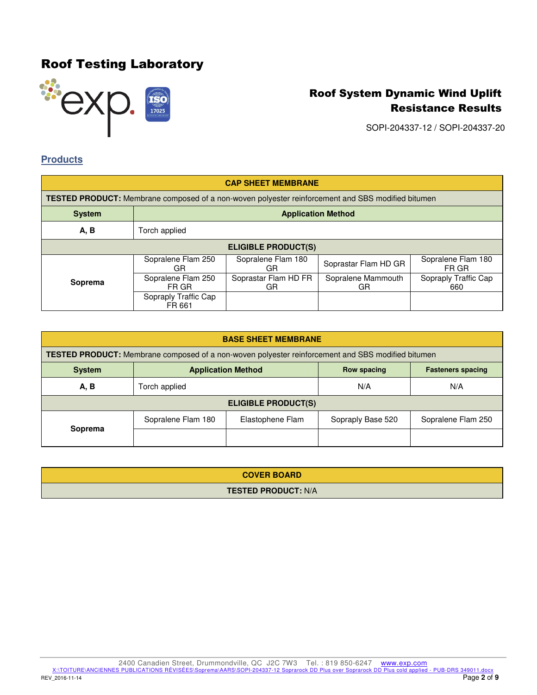

SOPI-204337-12 / SOPI-204337-20

### **Products**

| <b>CAP SHEET MEMBRANE</b>                                                                                |                                 |                            |                          |                             |
|----------------------------------------------------------------------------------------------------------|---------------------------------|----------------------------|--------------------------|-----------------------------|
| <b>TESTED PRODUCT:</b> Membrane composed of a non-woven polyester reinforcement and SBS modified bitumen |                                 |                            |                          |                             |
| <b>System</b>                                                                                            | <b>Application Method</b>       |                            |                          |                             |
| A, B                                                                                                     | Torch applied                   |                            |                          |                             |
| <b>ELIGIBLE PRODUCT(S)</b>                                                                               |                                 |                            |                          |                             |
|                                                                                                          | Sopralene Flam 250<br><b>GR</b> | Sopralene Flam 180<br>GR   | Soprastar Flam HD GR     | Sopralene Flam 180<br>FR GR |
| Soprema                                                                                                  | Sopralene Flam 250<br>FR GR     | Soprastar Flam HD FR<br>GR | Sopralene Mammouth<br>GR | Sopraply Traffic Cap<br>660 |
|                                                                                                          | Sopraply Traffic Cap<br>FR 661  |                            |                          |                             |

| <b>BASE SHEET MEMBRANE</b>                                                                               |                    |                  |                   |                    |
|----------------------------------------------------------------------------------------------------------|--------------------|------------------|-------------------|--------------------|
| <b>TESTED PRODUCT:</b> Membrane composed of a non-woven polyester reinforcement and SBS modified bitumen |                    |                  |                   |                    |
| <b>Application Method</b><br><b>System</b><br><b>Row spacing</b><br><b>Fasteners spacing</b>             |                    |                  |                   |                    |
| A, B                                                                                                     | Torch applied      |                  | N/A               | N/A                |
| <b>ELIGIBLE PRODUCT(S)</b>                                                                               |                    |                  |                   |                    |
| Soprema                                                                                                  | Sopralene Flam 180 | Elastophene Flam | Sopraply Base 520 | Sopralene Flam 250 |
|                                                                                                          |                    |                  |                   |                    |

| <b>COVER BOARD</b>         |
|----------------------------|
| <b>TESTED PRODUCT: N/A</b> |

REV\_2016-11-14 Page **2** of **9**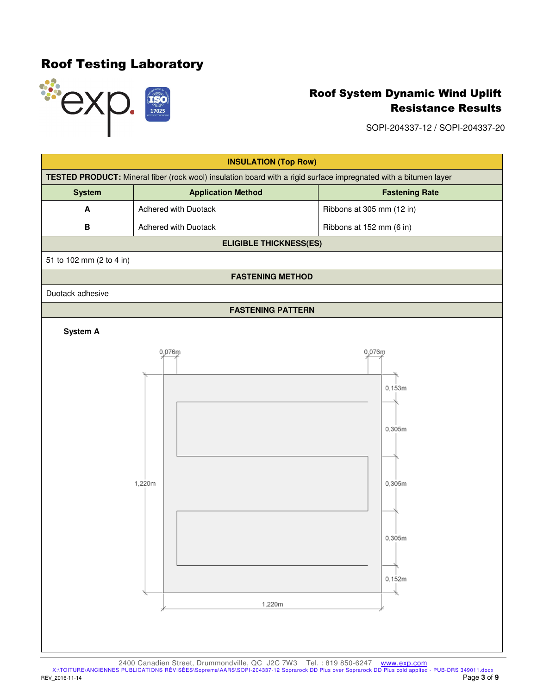

SOPI-204337-12 / SOPI-204337-20



2400 Canadien Street, Drummondville, QC J2C 7W3 Tel. : 819 850-6247 www.exp.com<br>X:\TOITURE\ANCIENNES PUBLICATIONS RÉVISÉES\Soprema\AARS\SOPI-204337-12 Soprarock DD Plus over Soprarock DD Plus cold applied - PUB-DRS 349011. REV\_2016-11-14 Page **3** of **9**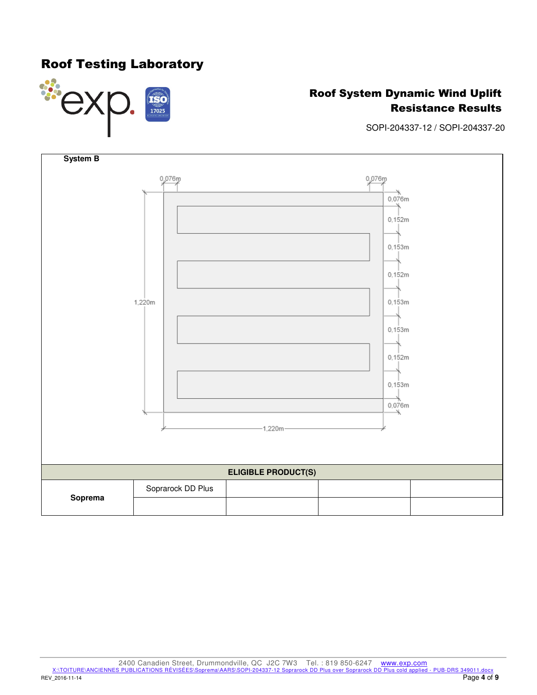## Roof Testing Laboratory



## Roof System Dynamic Wind Uplift Resistance Results

SOPI-204337-12 / SOPI-204337-20



2400 Canadien Street, Drummondville, QC J2C 7W3 Tel. : 819 850-6247 www.exp.com<br>X:\TOITURE\ANCIENNES PUBLICATIONS RÉVISÉES\Soprema\AARS\SOPI-204337-12 Soprarock DD Plus over Soprarock DD Plus cold applied - PUB-DRS 349011. REV\_2016-11-14 Page **4** of **9**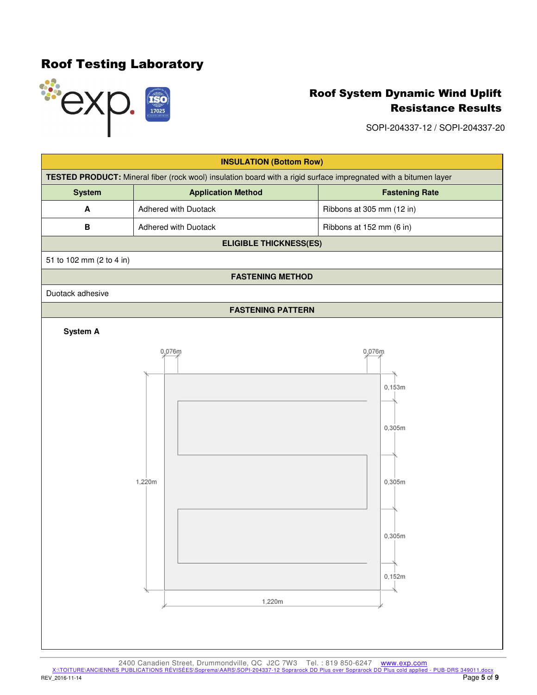

SOPI-204337-12 / SOPI-204337-20



2400 Canadien Street, Drummondville, QC J2C 7W3 Tel. : 819 850-6247 www.exp.com<br>X:\TOITURE\ANCIENNES PUBLICATIONS RÉVISÉES\Soprema\AARS\SOPI-204337-12 Soprarock DD Plus over Soprarock DD Plus cold applied - PUB-DRS 349011. REV\_2016-11-14 Page **5** of **9**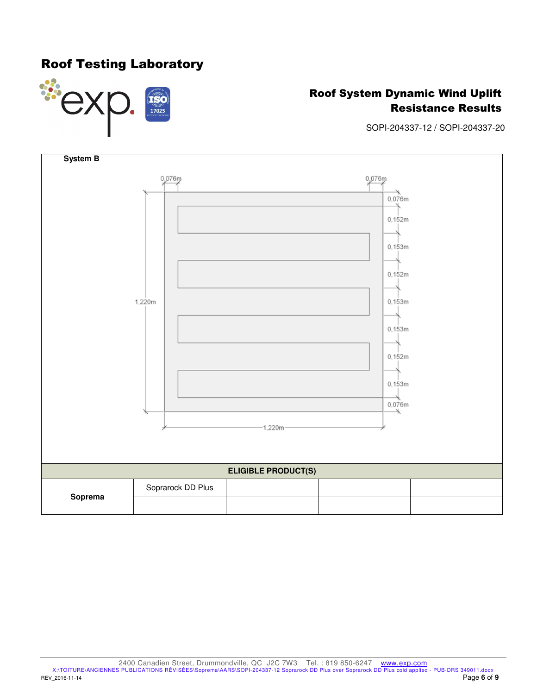## Roof Testing Laboratory



## Roof System Dynamic Wind Uplift Resistance Results

SOPI-204337-12 / SOPI-204337-20



2400 Canadien Street, Drummondville, QC J2C 7W3 Tel. : 819 850-6247 www.exp.com<br>X:\TOITURE\ANCIENNES PUBLICATIONS RÉVISÉES\Soprema\AARS\SOPI-204337-12 Soprarock DD Plus over Soprarock DD Plus cold applied - PUB-DRS 349011. REV\_2016-11-14 Page **6** of **9**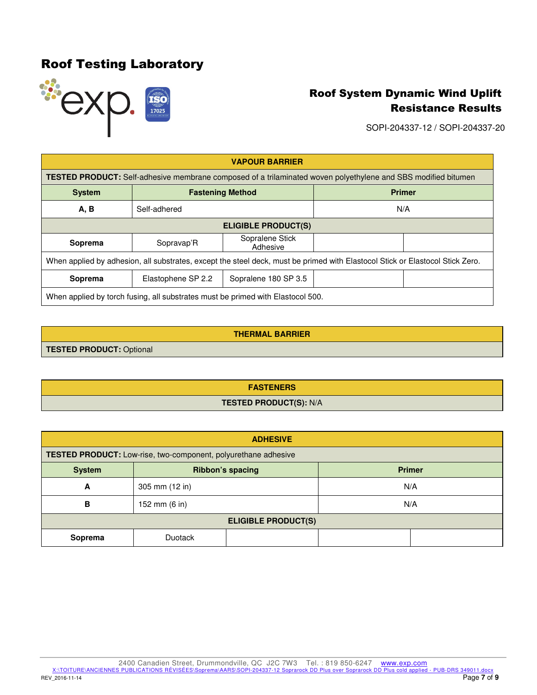

SOPI-204337-12 / SOPI-204337-20

| <b>VAPOUR BARRIER</b>                                                                                                         |                                          |                             |     |  |
|-------------------------------------------------------------------------------------------------------------------------------|------------------------------------------|-----------------------------|-----|--|
| <b>TESTED PRODUCT:</b> Self-adhesive membrane composed of a trilaminated woven polyethylene and SBS modified bitumen          |                                          |                             |     |  |
| <b>System</b>                                                                                                                 | <b>Primer</b><br><b>Fastening Method</b> |                             |     |  |
| A, B                                                                                                                          | Self-adhered                             |                             | N/A |  |
| <b>ELIGIBLE PRODUCT(S)</b>                                                                                                    |                                          |                             |     |  |
| Soprema                                                                                                                       | Sopravap'R                               | Sopralene Stick<br>Adhesive |     |  |
| When applied by adhesion, all substrates, except the steel deck, must be primed with Elastocol Stick or Elastocol Stick Zero. |                                          |                             |     |  |
| Soprema                                                                                                                       | Elastophene SP 2.2                       | Sopralene 180 SP 3.5        |     |  |
| When applied by torch fusing, all substrates must be primed with Elastocol 500.                                               |                                          |                             |     |  |

| THERMAL BARRIER. |
|------------------|
|------------------|

**TESTED PRODUCT:** Optional

**FASTENERS TESTED PRODUCT(S):** N/A

| <b>ADHESIVE</b>                                                |                |     |  |
|----------------------------------------------------------------|----------------|-----|--|
| TESTED PRODUCT: Low-rise, two-component, polyurethane adhesive |                |     |  |
| <b>Ribbon's spacing</b><br><b>Primer</b><br><b>System</b>      |                |     |  |
| A                                                              | 305 mm (12 in) | N/A |  |
| B                                                              | 152 mm (6 in)  | N/A |  |
| <b>ELIGIBLE PRODUCT(S)</b>                                     |                |     |  |
| Soprema                                                        | <b>Duotack</b> |     |  |

2400 Canadien Street, Drummondville, QC J2C 7W3 Tel. : 819 850-6247 www.exp.com<br>X:\TOITURE\ANCIENNES PUBLICATIONS RÉVISÉES\Soprema\AARS\SOPI-204337-12 Soprarock DD Plus over Soprarock DD Plus cold applied - PUB-DRS 349011. REV\_2016-11-14 Page **7** of **9**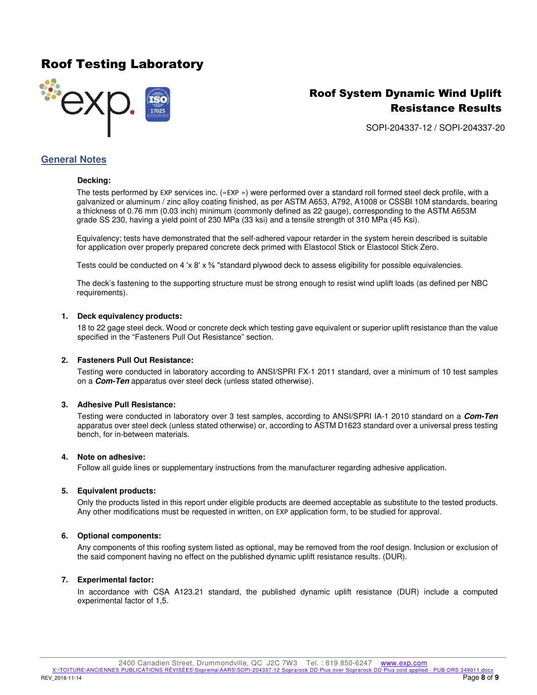## Roof Testing Laboratory



## Roof System Dynamic Wind Uplift Resistance Results

SOPI-204337-12 / SOPI-204337-20

### **General Notes**

#### **Decking:**

The tests performed by EXP services inc. («EXP ») were performed over a standard roll formed steel deck profile, with a galvanized or aluminum / zinc alloy coating finished, as per ASTM A653, A792, A1008 or CSSBI 10M standards, bearing a thickness of 0.76 mm (0.03 inch) minimum (commonly defined as 22 gauge), corresponding to the ASTM A653M grade SS 230, having a yield point of 230 MPa (33 ksi) and a tensile strength of 310 MPa (45 Ksi).

Equivalency; tests have demonstrated that the self-adhered vapour retarder in the system herein described is suitable for application over properly prepared concrete deck primed with Elastocol Stick or Elastocol Stick Zero.

Tests could be conducted on 4 'x  $8'$  x  $\frac{5}{8}$  "standard plywood deck to assess eligibility for possible equivalencies.

The deck's fastening to the supporting structure must be strong enough to resist wind uplift loads (as defined per NBC requirements).

#### **1. Deck equivalency products:**

18 to 22 gage steel deck. Wood or concrete deck which testing gave equivalent or superior uplift resistance than the value specified in the "Fasteners Pull Out Resistance" section.

#### **2. Fasteners Pull Out Resistance:**

Testing were conducted in laboratory according to ANSI/SPRI FX-1 2011 standard, over a minimum of 10 test samples on a **Com-Ten** apparatus over steel deck (unless stated otherwise).

#### **3. Adhesive Pull Resistance:**

Testing were conducted in laboratory over 3 test samples, according to ANSI/SPRI IA-1 2010 standard on a **Com-Ten** apparatus over steel deck (unless stated otherwise) or, according to ASTM D1623 standard over a universal press testing bench, for in-between materials.

#### **4. Note on adhesive:**

Follow all guide lines or supplementary instructions from the manufacturer regarding adhesive application.

#### **5. Equivalent products:**

Only the products listed in this report under eligible products are deemed acceptable as substitute to the tested products. Any other modifications must be requested in written, on EXP application form, to be studied for approval.

#### **6. Optional components:**

Any components of this roofing system listed as optional, may be removed from the roof design. Inclusion or exclusion of the said component having no effect on the published dynamic uplift resistance results. (DUR).

#### **7. Experimental factor:**

In accordance with CSA A123.21 standard, the published dynamic uplift resistance (DUR) include a computed experimental factor of 1,5.

2400 Canadien Street, Drummondville, QC J2C 7W3 Tel. : 819 850-6247 www.exp.com<br>2 PUBLICATIONS RÉVISÉES\Soprema\AARS\SOPI-204337-12 Soprarock DD Plus over Soprarock DD Plus cold applied - PUB-DRS 349011.docx X:\TOITURE\ANCIENNES PUBLICATIONS RÉVISÉES\Soprema\AARS\SOPI-204337-12